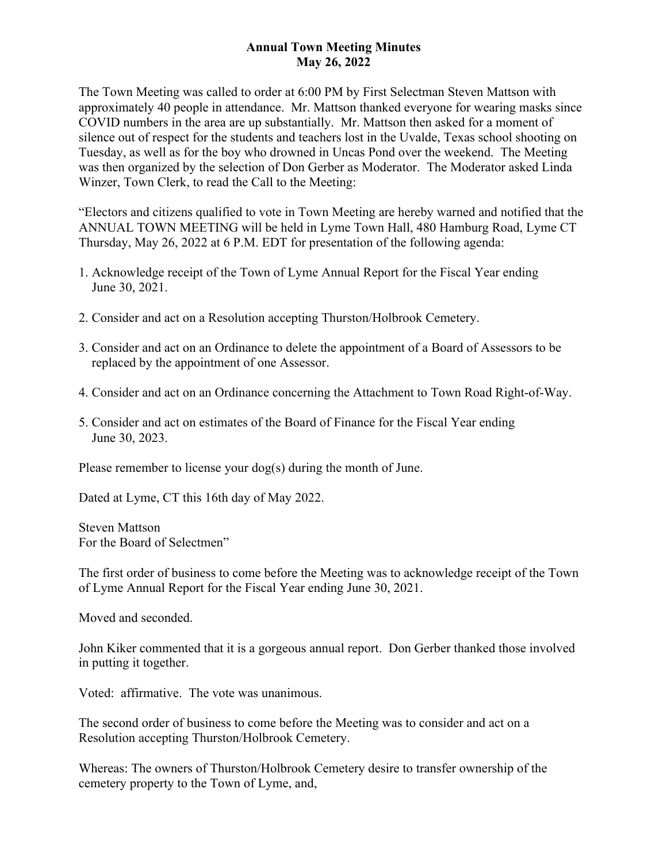# **Annual Town Meeting Minutes May 26, 2022**

The Town Meeting was called to order at 6:00 PM by First Selectman Steven Mattson with approximately 40 people in attendance. Mr. Mattson thanked everyone for wearing masks since COVID numbers in the area are up substantially. Mr. Mattson then asked for a moment of silence out of respect for the students and teachers lost in the Uvalde, Texas school shooting on Tuesday, as well as for the boy who drowned in Uncas Pond over the weekend. The Meeting was then organized by the selection of Don Gerber as Moderator. The Moderator asked Linda Winzer, Town Clerk, to read the Call to the Meeting:

"Electors and citizens qualified to vote in Town Meeting are hereby warned and notified that the ANNUAL TOWN MEETING will be held in Lyme Town Hall, 480 Hamburg Road, Lyme CT Thursday, May 26, 2022 at 6 P.M. EDT for presentation of the following agenda:

- 1. Acknowledge receipt of the Town of Lyme Annual Report for the Fiscal Year ending June 30, 2021.
- 2. Consider and act on a Resolution accepting Thurston/Holbrook Cemetery.
- 3. Consider and act on an Ordinance to delete the appointment of a Board of Assessors to be replaced by the appointment of one Assessor.
- 4. Consider and act on an Ordinance concerning the Attachment to Town Road Right-of-Way.
- 5. Consider and act on estimates of the Board of Finance for the Fiscal Year ending June 30, 2023.

Please remember to license your dog(s) during the month of June.

Dated at Lyme, CT this 16th day of May 2022.

Steven Mattson For the Board of Selectmen"

The first order of business to come before the Meeting was to acknowledge receipt of the Town of Lyme Annual Report for the Fiscal Year ending June 30, 2021.

Moved and seconded.

John Kiker commented that it is a gorgeous annual report. Don Gerber thanked those involved in putting it together.

Voted: affirmative. The vote was unanimous.

The second order of business to come before the Meeting was to consider and act on a Resolution accepting Thurston/Holbrook Cemetery.

Whereas: The owners of Thurston/Holbrook Cemetery desire to transfer ownership of the cemetery property to the Town of Lyme, and,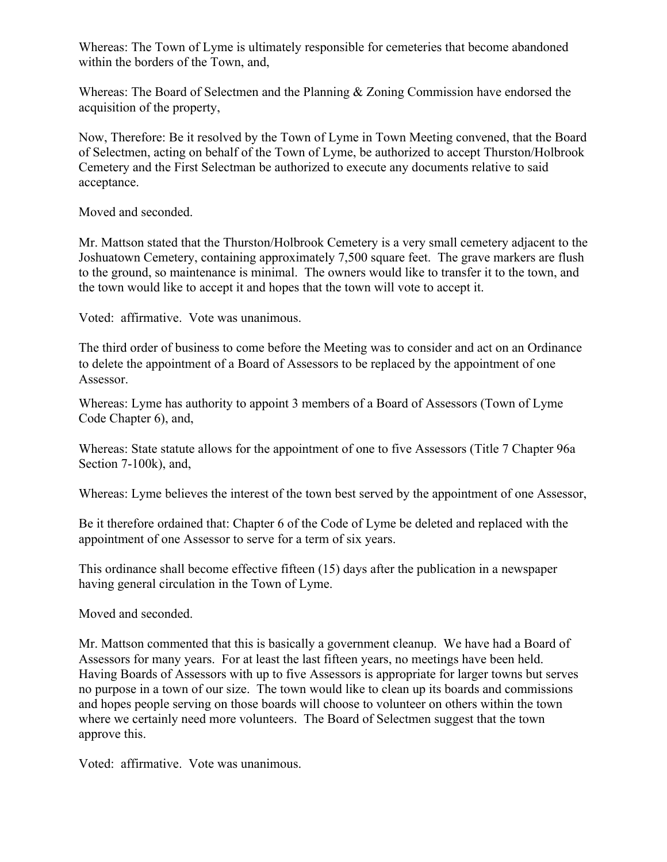Whereas: The Town of Lyme is ultimately responsible for cemeteries that become abandoned within the borders of the Town, and,

Whereas: The Board of Selectmen and the Planning & Zoning Commission have endorsed the acquisition of the property,

Now, Therefore: Be it resolved by the Town of Lyme in Town Meeting convened, that the Board of Selectmen, acting on behalf of the Town of Lyme, be authorized to accept Thurston/Holbrook Cemetery and the First Selectman be authorized to execute any documents relative to said acceptance.

Moved and seconded.

Mr. Mattson stated that the Thurston/Holbrook Cemetery is a very small cemetery adjacent to the Joshuatown Cemetery, containing approximately 7,500 square feet. The grave markers are flush to the ground, so maintenance is minimal. The owners would like to transfer it to the town, and the town would like to accept it and hopes that the town will vote to accept it.

Voted: affirmative. Vote was unanimous.

The third order of business to come before the Meeting was to consider and act on an Ordinance to delete the appointment of a Board of Assessors to be replaced by the appointment of one Assessor.

Whereas: Lyme has authority to appoint 3 members of a Board of Assessors (Town of Lyme Code Chapter 6), and,

Whereas: State statute allows for the appointment of one to five Assessors (Title 7 Chapter 96a Section 7-100k), and,

Whereas: Lyme believes the interest of the town best served by the appointment of one Assessor,

Be it therefore ordained that: Chapter 6 of the Code of Lyme be deleted and replaced with the appointment of one Assessor to serve for a term of six years.

This ordinance shall become effective fifteen (15) days after the publication in a newspaper having general circulation in the Town of Lyme.

Moved and seconded.

Mr. Mattson commented that this is basically a government cleanup. We have had a Board of Assessors for many years. For at least the last fifteen years, no meetings have been held. Having Boards of Assessors with up to five Assessors is appropriate for larger towns but serves no purpose in a town of our size. The town would like to clean up its boards and commissions and hopes people serving on those boards will choose to volunteer on others within the town where we certainly need more volunteers. The Board of Selectmen suggest that the town approve this.

Voted: affirmative. Vote was unanimous.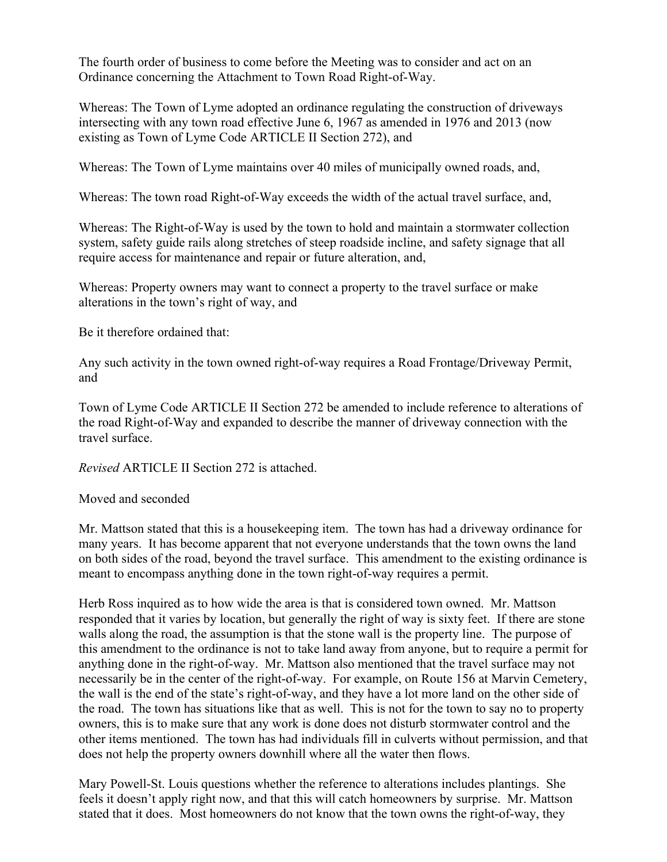The fourth order of business to come before the Meeting was to consider and act on an Ordinance concerning the Attachment to Town Road Right-of-Way.

Whereas: The Town of Lyme adopted an ordinance regulating the construction of driveways intersecting with any town road effective June 6, 1967 as amended in 1976 and 2013 (now existing as Town of Lyme Code ARTICLE II Section 272), and

Whereas: The Town of Lyme maintains over 40 miles of municipally owned roads, and,

Whereas: The town road Right-of-Way exceeds the width of the actual travel surface, and,

Whereas: The Right-of-Way is used by the town to hold and maintain a stormwater collection system, safety guide rails along stretches of steep roadside incline, and safety signage that all require access for maintenance and repair or future alteration, and,

Whereas: Property owners may want to connect a property to the travel surface or make alterations in the town's right of way, and

Be it therefore ordained that:

Any such activity in the town owned right-of-way requires a Road Frontage/Driveway Permit, and

Town of Lyme Code ARTICLE II Section 272 be amended to include reference to alterations of the road Right-of-Way and expanded to describe the manner of driveway connection with the travel surface.

*Revised* ARTICLE II Section 272 is attached.

Moved and seconded

Mr. Mattson stated that this is a housekeeping item. The town has had a driveway ordinance for many years. It has become apparent that not everyone understands that the town owns the land on both sides of the road, beyond the travel surface. This amendment to the existing ordinance is meant to encompass anything done in the town right-of-way requires a permit.

Herb Ross inquired as to how wide the area is that is considered town owned. Mr. Mattson responded that it varies by location, but generally the right of way is sixty feet. If there are stone walls along the road, the assumption is that the stone wall is the property line. The purpose of this amendment to the ordinance is not to take land away from anyone, but to require a permit for anything done in the right-of-way. Mr. Mattson also mentioned that the travel surface may not necessarily be in the center of the right-of-way. For example, on Route 156 at Marvin Cemetery, the wall is the end of the state's right-of-way, and they have a lot more land on the other side of the road. The town has situations like that as well. This is not for the town to say no to property owners, this is to make sure that any work is done does not disturb stormwater control and the other items mentioned. The town has had individuals fill in culverts without permission, and that does not help the property owners downhill where all the water then flows.

Mary Powell-St. Louis questions whether the reference to alterations includes plantings. She feels it doesn't apply right now, and that this will catch homeowners by surprise. Mr. Mattson stated that it does. Most homeowners do not know that the town owns the right-of-way, they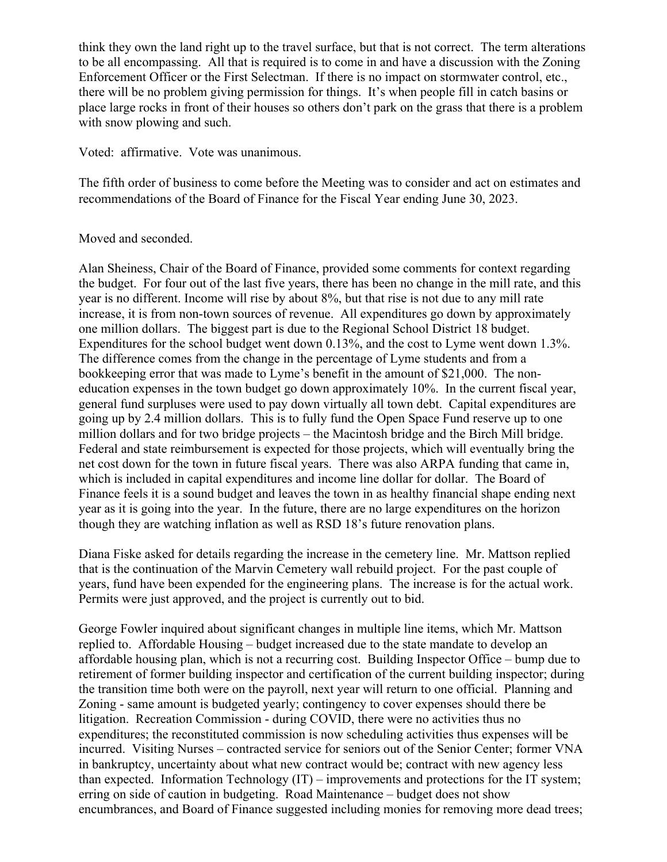think they own the land right up to the travel surface, but that is not correct. The term alterations to be all encompassing. All that is required is to come in and have a discussion with the Zoning Enforcement Officer or the First Selectman. If there is no impact on stormwater control, etc., there will be no problem giving permission for things. It's when people fill in catch basins or place large rocks in front of their houses so others don't park on the grass that there is a problem with snow plowing and such.

Voted: affirmative. Vote was unanimous.

The fifth order of business to come before the Meeting was to consider and act on estimates and recommendations of the Board of Finance for the Fiscal Year ending June 30, 2023.

## Moved and seconded.

Alan Sheiness, Chair of the Board of Finance, provided some comments for context regarding the budget. For four out of the last five years, there has been no change in the mill rate, and this year is no different. Income will rise by about 8%, but that rise is not due to any mill rate increase, it is from non-town sources of revenue. All expenditures go down by approximately one million dollars. The biggest part is due to the Regional School District 18 budget. Expenditures for the school budget went down 0.13%, and the cost to Lyme went down 1.3%. The difference comes from the change in the percentage of Lyme students and from a bookkeeping error that was made to Lyme's benefit in the amount of \$21,000. The noneducation expenses in the town budget go down approximately 10%. In the current fiscal year, general fund surpluses were used to pay down virtually all town debt. Capital expenditures are going up by 2.4 million dollars. This is to fully fund the Open Space Fund reserve up to one million dollars and for two bridge projects – the Macintosh bridge and the Birch Mill bridge. Federal and state reimbursement is expected for those projects, which will eventually bring the net cost down for the town in future fiscal years. There was also ARPA funding that came in, which is included in capital expenditures and income line dollar for dollar. The Board of Finance feels it is a sound budget and leaves the town in as healthy financial shape ending next year as it is going into the year. In the future, there are no large expenditures on the horizon though they are watching inflation as well as RSD 18's future renovation plans.

Diana Fiske asked for details regarding the increase in the cemetery line. Mr. Mattson replied that is the continuation of the Marvin Cemetery wall rebuild project. For the past couple of years, fund have been expended for the engineering plans. The increase is for the actual work. Permits were just approved, and the project is currently out to bid.

George Fowler inquired about significant changes in multiple line items, which Mr. Mattson replied to. Affordable Housing – budget increased due to the state mandate to develop an affordable housing plan, which is not a recurring cost. Building Inspector Office – bump due to retirement of former building inspector and certification of the current building inspector; during the transition time both were on the payroll, next year will return to one official. Planning and Zoning - same amount is budgeted yearly; contingency to cover expenses should there be litigation. Recreation Commission - during COVID, there were no activities thus no expenditures; the reconstituted commission is now scheduling activities thus expenses will be incurred. Visiting Nurses – contracted service for seniors out of the Senior Center; former VNA in bankruptcy, uncertainty about what new contract would be; contract with new agency less than expected. Information Technology (IT) – improvements and protections for the IT system; erring on side of caution in budgeting. Road Maintenance – budget does not show encumbrances, and Board of Finance suggested including monies for removing more dead trees;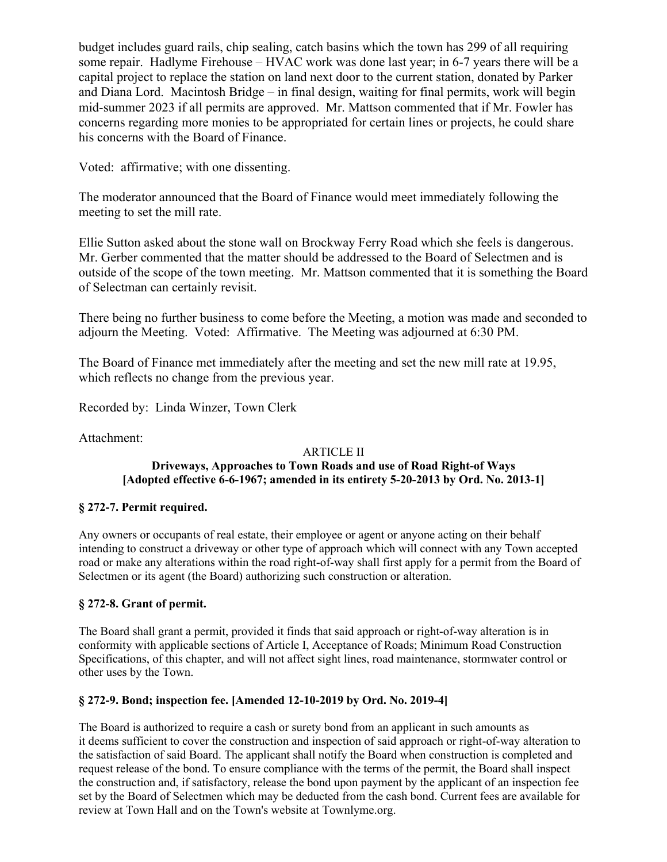budget includes guard rails, chip sealing, catch basins which the town has 299 of all requiring some repair. Hadlyme Firehouse – HVAC work was done last year; in 6-7 years there will be a capital project to replace the station on land next door to the current station, donated by Parker and Diana Lord. Macintosh Bridge – in final design, waiting for final permits, work will begin mid-summer 2023 if all permits are approved. Mr. Mattson commented that if Mr. Fowler has concerns regarding more monies to be appropriated for certain lines or projects, he could share his concerns with the Board of Finance.

Voted: affirmative; with one dissenting.

The moderator announced that the Board of Finance would meet immediately following the meeting to set the mill rate.

Ellie Sutton asked about the stone wall on Brockway Ferry Road which she feels is dangerous. Mr. Gerber commented that the matter should be addressed to the Board of Selectmen and is outside of the scope of the town meeting. Mr. Mattson commented that it is something the Board of Selectman can certainly revisit.

There being no further business to come before the Meeting, a motion was made and seconded to adjourn the Meeting. Voted: Affirmative. The Meeting was adjourned at 6:30 PM.

The Board of Finance met immediately after the meeting and set the new mill rate at 19.95, which reflects no change from the previous year.

Recorded by: Linda Winzer, Town Clerk

Attachment:

#### ARTICLE II **Driveways, Approaches to Town Roads and use of Road Right-of Ways [Adopted effective 6-6-1967; amended in its entirety 5-20-2013 by Ord. No. 2013-1]**

## **§ 272-7. Permit required.**

Any owners or occupants of real estate, their employee or agent or anyone acting on their behalf intending to construct a driveway or other type of approach which will connect with any Town accepted road or make any alterations within the road right-of-way shall first apply for a permit from the Board of Selectmen or its agent (the Board) authorizing such construction or alteration.

#### **§ 272-8. Grant of permit.**

The Board shall grant a permit, provided it finds that said approach or right-of-way alteration is in conformity with applicable sections of Article I, Acceptance of Roads; Minimum Road Construction Specifications, of this chapter, and will not affect sight lines, road maintenance, stormwater control or other uses by the Town.

## **§ 272-9. Bond; inspection fee. [Amended 12-10-2019 by Ord. No. 2019-4]**

The Board is authorized to require a cash or surety bond from an applicant in such amounts as it deems sufficient to cover the construction and inspection of said approach or right-of-way alteration to the satisfaction of said Board. The applicant shall notify the Board when construction is completed and request release of the bond. To ensure compliance with the terms of the permit, the Board shall inspect the construction and, if satisfactory, release the bond upon payment by the applicant of an inspection fee set by the Board of Selectmen which may be deducted from the cash bond. Current fees are available for review at Town Hall and on the Town's website at Townlyme.org.